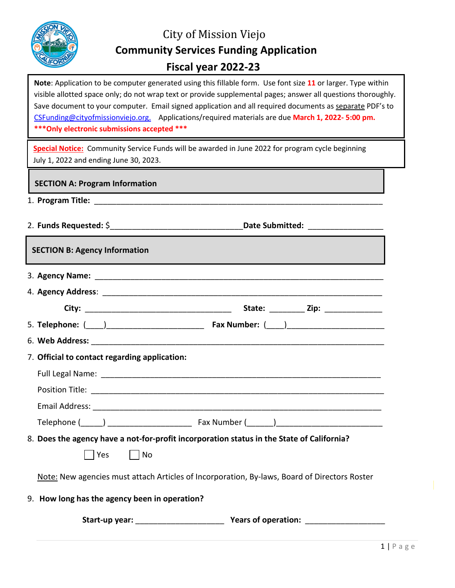

# City of Mission Viejo **Community Services Funding Application Fiscal year 2022-23**

 visible allotted space only; do not wrap text or provide supplemental pages; answer all questions thoroughly. **Note**: Application to be computer generated using this fillable form. Use font size **11** or larger. Type within Save document to your computer. Email signed application and all required documents as separate PDF's to [CSFunding@cityofmissionviejo.org.](mailto:CSFunding@cityofmissionviejo.org) Applications/required materials are due **March 1, 2022- 5:00 pm. \*\*\*Only electronic submissions accepted \*\*\***

**Special Notice:** Community Service Funds will be awarded in June 2022 for program cycle beginning July 1, 2022 and ending June 30, 2023.

#### **SECTION A: Program Information**

- 1. **Program Title:** \_\_\_\_\_\_\_\_\_\_\_\_\_\_\_\_\_\_\_\_\_\_\_\_\_\_\_\_\_\_\_\_\_\_\_\_\_\_\_\_\_\_\_\_\_\_\_\_\_\_\_\_\_\_\_\_\_\_\_\_\_\_\_\_\_
- 2. **Funds Requested:** \$\_\_\_\_\_\_\_\_\_\_\_\_\_\_\_\_\_\_\_\_\_\_\_\_\_\_\_\_\_\_**Date Submitted:** \_\_\_\_\_\_\_\_\_\_\_\_\_\_\_\_\_

**SECTION B: Agency Information**

|  |                                               |                                                                                              | State: __________ Zip: _______________ |
|--|-----------------------------------------------|----------------------------------------------------------------------------------------------|----------------------------------------|
|  |                                               |                                                                                              |                                        |
|  |                                               |                                                                                              |                                        |
|  | 7. Official to contact regarding application: |                                                                                              |                                        |
|  |                                               |                                                                                              |                                        |
|  |                                               |                                                                                              |                                        |
|  |                                               |                                                                                              |                                        |
|  |                                               |                                                                                              |                                        |
|  |                                               | 8. Does the agency have a not-for-profit incorporation status in the State of California?    |                                        |
|  | Yes     No                                    |                                                                                              |                                        |
|  |                                               | Note: New agencies must attach Articles of Incorporation, By-laws, Board of Directors Roster |                                        |
|  | 9. How long has the agency been in operation? |                                                                                              |                                        |

**Start-up year:** \_\_\_\_\_\_\_\_\_\_\_\_\_\_\_\_\_\_\_\_ **Years of operation:** \_\_\_\_\_\_\_\_\_\_\_\_\_\_\_\_\_\_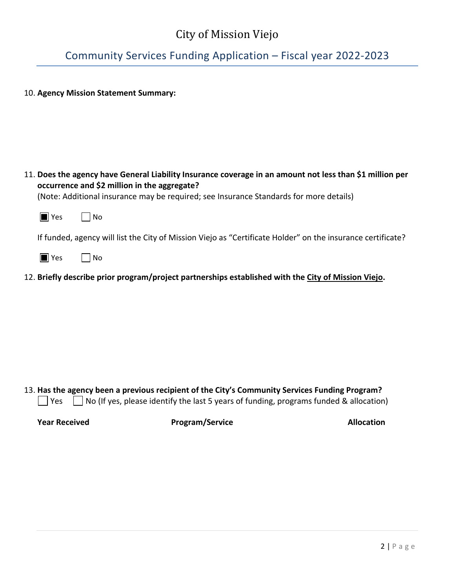Community Services Funding Application – Fiscal year 2022-2023

10. **Agency Mission Statement Summary:** 

|        | 11. Does the agency have General Liability Insurance coverage in an amount not less than \$1 million per<br>occurrence and \$2 million in the aggregate?<br>(Note: Additional insurance may be required; see Insurance Standards for more details) |
|--------|----------------------------------------------------------------------------------------------------------------------------------------------------------------------------------------------------------------------------------------------------|
| ll Yes | l No                                                                                                                                                                                                                                               |
|        | If funded, agency will list the City of Mission Viejo as "Certificate Holder" on the insurance certificate?                                                                                                                                        |
| ll Yes | No                                                                                                                                                                                                                                                 |
|        |                                                                                                                                                                                                                                                    |

13. **Has the agency been a previous recipient of the City's Community Services Funding Program?**   $\Box$  Yes  $\Box$  No (If yes, please identify the last 5 years of funding, programs funded & allocation)

12. **Briefly describe prior program/project partnerships established with the City of Mission Viejo.** 

**Year Received <b>Program/Service Program/Service Allocation**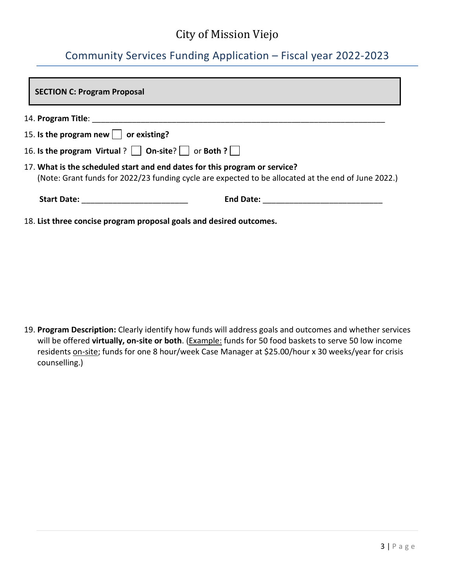## Community Services Funding Application – Fiscal year 2022-2023

| <b>SECTION C: Program Proposal</b>                                                                                                                                                |  |  |  |  |
|-----------------------------------------------------------------------------------------------------------------------------------------------------------------------------------|--|--|--|--|
|                                                                                                                                                                                   |  |  |  |  |
| 15. Is the program new $\Box$ or existing?                                                                                                                                        |  |  |  |  |
| 16. Is the program Virtual ?   $\vert$ On-site?   $\vert$ or Both ? $\vert$                                                                                                       |  |  |  |  |
| 17. What is the scheduled start and end dates for this program or service?<br>(Note: Grant funds for 2022/23 funding cycle are expected to be allocated at the end of June 2022.) |  |  |  |  |
|                                                                                                                                                                                   |  |  |  |  |
| 18. List three concise program proposal goals and desired outcomes.                                                                                                               |  |  |  |  |

19. **Program Description:** Clearly identify how funds will address goals and outcomes and whether services will be offered **virtually, on-site or both**. (Example: funds for 50 food baskets to serve 50 low income residents on-site; funds for one 8 hour/week Case Manager at \$25.00/hour x 30 weeks/year for crisis counselling.)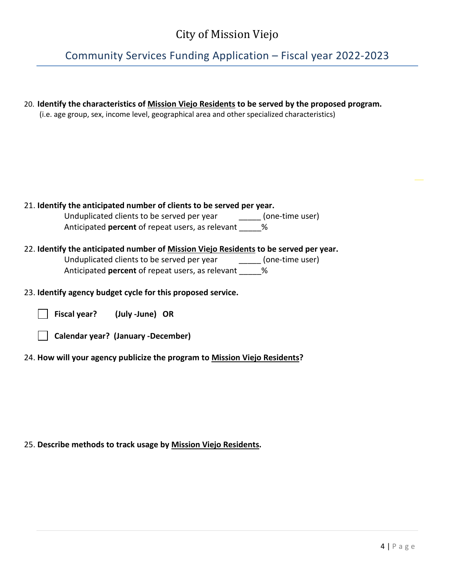Community Services Funding Application – Fiscal year 2022-2023

| 20. Identify the characteristics of Mission Viejo Residents to be served by the proposed program.<br>(i.e. age group, sex, income level, geographical area and other specialized characteristics) |
|---------------------------------------------------------------------------------------------------------------------------------------------------------------------------------------------------|
|                                                                                                                                                                                                   |
| 21. Identify the anticipated number of clients to be served per year.                                                                                                                             |
| Unduplicated clients to be served per year [10] [000-time user]                                                                                                                                   |
| Anticipated <b>percent</b> of repeat users, as relevant %                                                                                                                                         |
| 22. Identify the anticipated number of Mission Viejo Residents to be served per year.                                                                                                             |
| Unduplicated clients to be served per year [10] [000] (one-time user)                                                                                                                             |
| Anticipated <b>percent</b> of repeat users, as relevant %                                                                                                                                         |
| 23. Identify agency budget cycle for this proposed service.                                                                                                                                       |
| Fiscal year? (July -June) OR                                                                                                                                                                      |
| Calendar year? (January -December)                                                                                                                                                                |
| 24. How will your agency publicize the program to Mission Viejo Residents?                                                                                                                        |

#### 25. **Describe methods to track usage by Mission Viejo Residents.**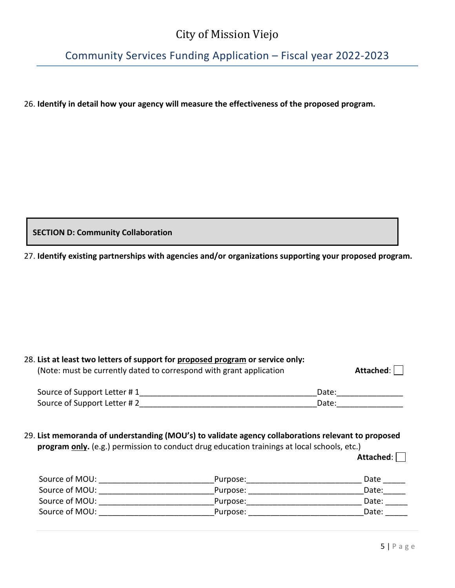Community Services Funding Application – Fiscal year 2022-2023

26. **Identify in detail how your agency will measure the effectiveness of the proposed program.**

**SECTION D: Community Collaboration**

27. **Identify existing partnerships with agencies and/or organizations supporting your proposed program.**

| 28. List at least two letters of support for proposed program or service only:<br>(Note: must be currently dated to correspond with grant application | Attached: |  |
|-------------------------------------------------------------------------------------------------------------------------------------------------------|-----------|--|
| Source of Support Letter #1                                                                                                                           | Date:     |  |
| Source of Support Letter #2                                                                                                                           | Date:     |  |
|                                                                                                                                                       |           |  |

29. **List memoranda of understanding (MOU's) to validate agency collaborations relevant to proposed** program only. (e.g.) permission to conduct drug education trainings at local schools, etc.)

**Attached**:

| Source of MOU: | Purpose: | Date  |
|----------------|----------|-------|
| Source of MOU: | Purpose: | Date: |
| Source of MOU: | Purpose: | Date: |
| Source of MOU: | Purpose: | Date: |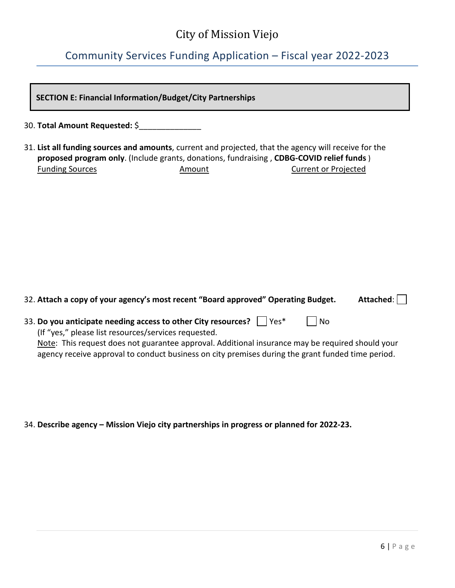## Community Services Funding Application – Fiscal year 2022-2023

| <b>SECTION E: Financial Information/Budget/City Partnerships</b>                                                                                                                                                                                                                                                                                                 |  |  |  |  |  |
|------------------------------------------------------------------------------------------------------------------------------------------------------------------------------------------------------------------------------------------------------------------------------------------------------------------------------------------------------------------|--|--|--|--|--|
| 30. Total Amount Requested: \$______________                                                                                                                                                                                                                                                                                                                     |  |  |  |  |  |
| 31. List all funding sources and amounts, current and projected, that the agency will receive for the<br>proposed program only. (Include grants, donations, fundraising, CDBG-COVID relief funds)<br><b>Funding Sources</b><br>Amount<br><b>Current or Projected</b>                                                                                             |  |  |  |  |  |
| 32. Attach a copy of your agency's most recent "Board approved" Operating Budget.<br>Attached:                                                                                                                                                                                                                                                                   |  |  |  |  |  |
| 33. Do you anticipate needing access to other City resources? $\vert \ \vert$ Yes*<br><b>No</b><br>(If "yes," please list resources/services requested.<br>Note: This request does not guarantee approval. Additional insurance may be required should your<br>agency receive approval to conduct business on city premises during the grant funded time period. |  |  |  |  |  |

34. **Describe agency – Mission Viejo city partnerships in progress or planned for 2022-23.**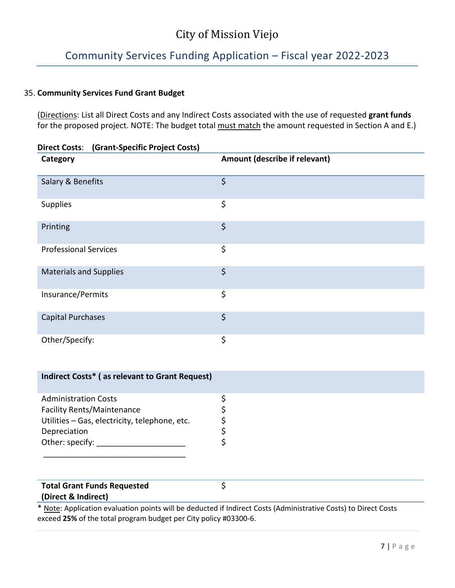## Community Services Funding Application – Fiscal year 2022-2023

### 35. **Community Services Fund Grant Budget**

(Directions: List all Direct Costs and any Indirect Costs associated with the use of requested **grant funds**  for the proposed project. NOTE: The budget total must match the amount requested in Section A and E.)

| <b>Direct Costs:</b> (Grant-Specific Project Costs) |                               |
|-----------------------------------------------------|-------------------------------|
| Category                                            | Amount (describe if relevant) |
| Salary & Benefits                                   | $\zeta$                       |
| Supplies                                            | \$                            |
| Printing                                            | \$                            |
| <b>Professional Services</b>                        | \$                            |
| <b>Materials and Supplies</b>                       | $\varsigma$                   |
| Insurance/Permits                                   | \$                            |
| <b>Capital Purchases</b>                            | \$                            |
| Other/Specify:                                      | \$                            |

| Indirect Costs* (as relevant to Grant Request)                                                                                                       |                                                                                                                 |
|------------------------------------------------------------------------------------------------------------------------------------------------------|-----------------------------------------------------------------------------------------------------------------|
| <b>Administration Costs</b><br><b>Facility Rents/Maintenance</b><br>Utilities - Gas, electricity, telephone, etc.<br>Depreciation<br>Other: specify: |                                                                                                                 |
| <b>Total Grant Funds Requested</b><br>(Direct & Indirect)                                                                                            | * Note: Application evaluation points will be deducted if Indirect Costs (Administrative Costs) to Direct Costs |

exceed **25%** of the total program budget per City policy #03300-6.